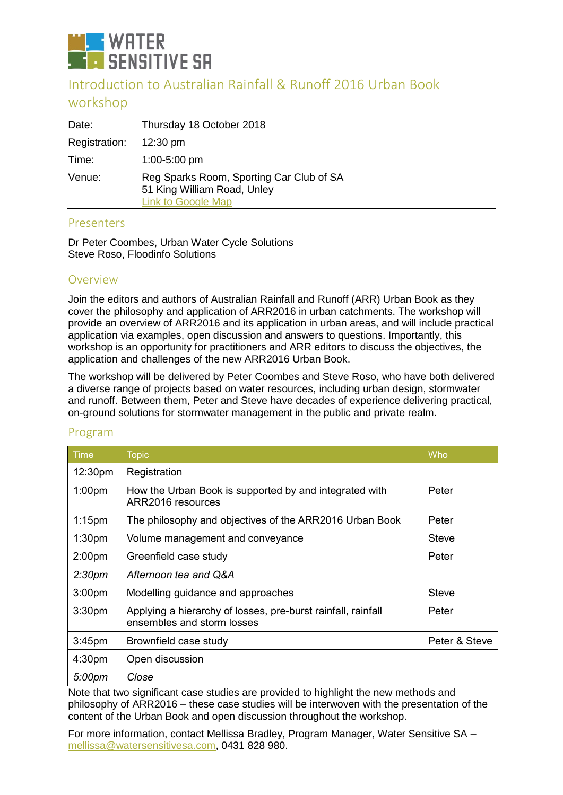

# Introduction to Australian Rainfall & Runoff 2016 Urban Book

# workshop

| Date:         | Thursday 18 October 2018                                                                             |
|---------------|------------------------------------------------------------------------------------------------------|
| Registration: | $12:30 \text{ pm}$                                                                                   |
| Time:         | $1:00-5:00$ pm                                                                                       |
| Venue:        | Reg Sparks Room, Sporting Car Club of SA<br>51 King William Road, Unley<br><b>Link to Google Map</b> |
|               |                                                                                                      |

#### Presenters

Dr Peter Coombes, Urban Water Cycle Solutions Steve Roso, Floodinfo Solutions

## Overview

Join the editors and authors of Australian Rainfall and Runoff (ARR) Urban Book as they cover the philosophy and application of ARR2016 in urban catchments. The workshop will provide an overview of ARR2016 and its application in urban areas, and will include practical application via examples, open discussion and answers to questions. Importantly, this workshop is an opportunity for practitioners and ARR editors to discuss the objectives, the application and challenges of the new ARR2016 Urban Book.

The workshop will be delivered by Peter Coombes and Steve Roso, who have both delivered a diverse range of projects based on water resources, including urban design, stormwater and runoff. Between them, Peter and Steve have decades of experience delivering practical, on-ground solutions for stormwater management in the public and private realm.

| <b>Time</b>         | <b>Topic</b>                                                                               | Who           |
|---------------------|--------------------------------------------------------------------------------------------|---------------|
| 12:30 <sub>pm</sub> | Registration                                                                               |               |
| 1:00 <sub>pm</sub>  | How the Urban Book is supported by and integrated with<br>ARR2016 resources                | Peter         |
| $1:15$ pm           | The philosophy and objectives of the ARR2016 Urban Book                                    | Peter         |
| 1:30 <sub>pm</sub>  | Volume management and conveyance                                                           | <b>Steve</b>  |
| 2:00 <sub>pm</sub>  | Greenfield case study                                                                      | Peter         |
| 2:30 <sub>pm</sub>  | Afternoon tea and Q&A                                                                      |               |
| 3:00 <sub>pm</sub>  | Modelling guidance and approaches                                                          | <b>Steve</b>  |
| 3:30 <sub>pm</sub>  | Applying a hierarchy of losses, pre-burst rainfall, rainfall<br>ensembles and storm losses | Peter         |
| 3:45 <sub>pm</sub>  | Brownfield case study                                                                      | Peter & Steve |
| 4:30pm              | Open discussion                                                                            |               |
| 5:00pm              | Close                                                                                      |               |

## Program

Note that two significant case studies are provided to highlight the new methods and philosophy of ARR2016 – these case studies will be interwoven with the presentation of the content of the Urban Book and open discussion throughout the workshop.

For more information, contact Mellissa Bradley, Program Manager, Water Sensitive SA – [mellissa@watersensitivesa.com,](mailto:mellissa@watersensitivesa.com) 0431 828 980.